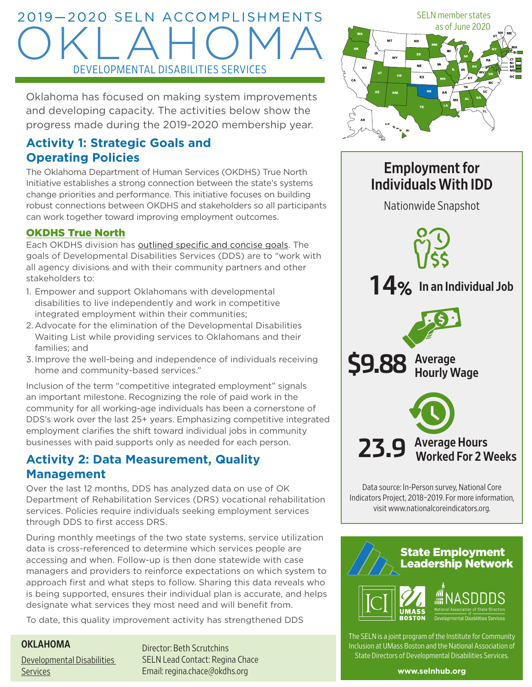## 2019—2020 SELN ACCOMPLISHMENTS OKLAHOMA DEVELOPMENTAL DISABILITIES SERVICES

Oklahoma has focused on making system improvements and developing capacity. The activities below show the progress made during the 2019-2020 membership year.

## **Activity 1: Strategic Goals and Operating Policies**

The Oklahoma Department of Human Services (OKDHS) True North Initiative establishes a strong connection between the state's systems change priorities and performance. This initiative focuses on building robust connections between OKDHS and stakeholders so all participants can work together toward improving employment outcomes.

## [OKDHS True North](https://www.ourokdhs.org/s/truenorth)

Each OKDHS division has [outlined specific and concise goals.](https://www.ourokdhs.org/s/developmentaldisabilitiesservices) The goals of Developmental Disabilities Services (DDS) are to "work with all agency divisions and with their community partners and other stakeholders to:

- 1. Empower and support Oklahomans with developmental disabilities to live independently and work in competitive integrated employment within their communities;
- 2.Advocate for the elimination of the Developmental Disabilities Waiting List while providing services to Oklahomans and their families; and
- 3.Improve the well-being and independence of individuals receiving home and community-based services."

Inclusion of the term "competitive integrated employment" signals an important milestone. Recognizing the role of paid work in the community for all working-age individuals has been a cornerstone of DDS's work over the last 25+ years. Emphasizing competitive integrated employment clarifies the shift toward individual jobs in community businesses with paid supports only as needed for each person.

## **Activity 2: Data Measurement, Quality Management**

Over the last 12 months, DDS has analyzed data on use of OK Department of Rehabilitation Services (DRS) vocational rehabilitation services. Policies require individuals seeking employment services through DDS to first access DRS.

During monthly meetings of the two state systems, service utilization data is cross-referenced to determine which services people are accessing and when. Follow-up is then done statewide with case managers and providers to reinforce expectations on which system to approach first and what steps to follow. Sharing this data reveals who is being supported, ensures their individual plan is accurate, and helps designate what services they most need and will benefit from.

To date, this quality improvement activity has strengthened DDS

## OKLAHOMA

[Developmental Disabilities](http://www.okdhs.org/Pages/default.aspx)  **[Services](http://www.okdhs.org/Pages/default.aspx)** 

Director: Beth Scrutchins SELN Lead Contact: Regina Chace Email: [regina.chace@okdhs.org](mailto:regina.chace@okdhs.org)



# Employment for Individuals With IDD Nationwide Snapshot **14**% In an Individual Job **\$9.88** Average Hourly Wage



Data source: In-Person survey, National Core Indicators Project, 2018–2019. For more information, visit www.nationalcoreindicators.org.



The SELN is a joint program of the Institute for Community Inclusion at UMass Boston and the National Association of State Directors of Developmental Disabilities Services.

**[www.selnhub.org](http://www.selnhub.org)**